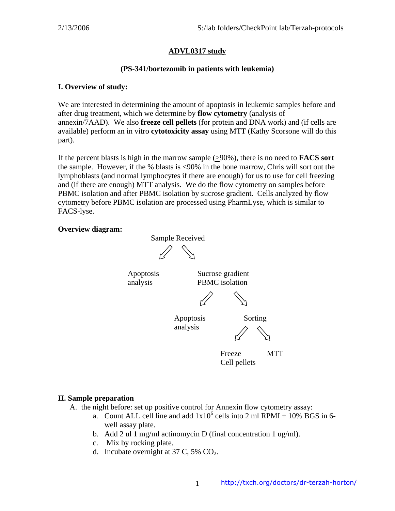## **ADVL0317 study**

#### **(PS-341/bortezomib in patients with leukemia)**

#### **I. Overview of study:**

We are interested in determining the amount of apoptosis in leukemic samples before and after drug treatment, which we determine by **flow cytometry** (analysis of annexin/7AAD). We also **freeze cell pellets** (for protein and DNA work) and (if cells are available) perform an in vitro **cytotoxicity assay** using MTT (Kathy Scorsone will do this part).

If the percent blasts is high in the marrow sample (>90%), there is no need to **FACS sort** the sample. However, if the % blasts is <90% in the bone marrow, Chris will sort out the lymphoblasts (and normal lymphocytes if there are enough) for us to use for cell freezing and (if there are enough) MTT analysis. We do the flow cytometry on samples before PBMC isolation and after PBMC isolation by sucrose gradient. Cells analyzed by flow cytometry before PBMC isolation are processed using PharmLyse, which is similar to FACS-lyse.

#### **Overview diagram:**



Cell pellets

## **II. Sample preparation**

- A. the night before: set up positive control for Annexin flow cytometry assay:
	- a. Count ALL cell line and add  $1x10^6$  cells into 2 ml RPMI + 10% BGS in 6well assay plate.
	- b. Add 2 ul 1 mg/ml actinomycin D (final concentration 1 ug/ml).

1

- c. Mix by rocking plate.
- d. Incubate overnight at 37 C, 5%  $CO<sub>2</sub>$ .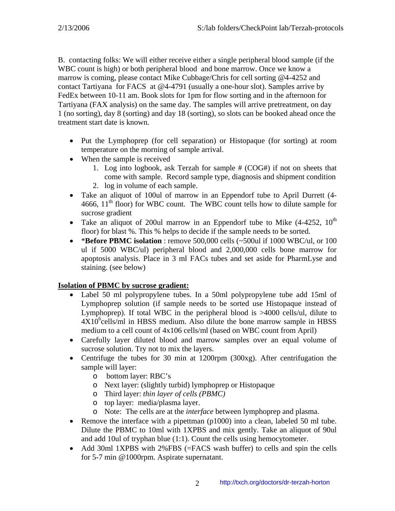B. contacting folks: We will either receive either a single peripheral blood sample (if the WBC count is high) or both peripheral blood and bone marrow. Once we know a marrow is coming, please contact Mike Cubbage/Chris for cell sorting @4-4252 and contact Tartiyana for FACS at @4-4791 (usually a one-hour slot). Samples arrive by FedEx between 10-11 am. Book slots for 1pm for flow sorting and in the afternoon for Tartiyana (FAX analysis) on the same day. The samples will arrive pretreatment, on day 1 (no sorting), day 8 (sorting) and day 18 (sorting), so slots can be booked ahead once the treatment start date is known.

- Put the Lymphoprep (for cell separation) or Histopaque (for sorting) at room temperature on the morning of sample arrival.
- When the sample is received
	- 1. Log into logbook, ask Terzah for sample # (COG#) if not on sheets that come with sample. Record sample type, diagnosis and shipment condition
	- 2. log in volume of each sample.
- Take an aliquot of 100ul of marrow in an Eppendorf tube to April Durrett (4- 4666,  $11<sup>th</sup>$  floor) for WBC count. The WBC count tells how to dilute sample for sucrose gradient
- Take an aliquot of 200ul marrow in an Eppendorf tube to Mike  $(4-4252, 10^{\text{th}})$ floor) for blast %. This % helps to decide if the sample needs to be sorted.
- \***Before PBMC isolation** : remove 500,000 cells (~500ul if 1000 WBC/ul, or 100 ul if 5000 WBC/ul) peripheral blood and 2,000,000 cells bone marrow for apoptosis analysis. Place in 3 ml FACs tubes and set aside for PharmLyse and staining. (see below)

## **Isolation of PBMC by sucrose gradient:**

- Label 50 ml polypropylene tubes. In a 50ml polypropylene tube add 15ml of Lymphoprep solution (if sample needs to be sorted use Histopaque instead of Lymphoprep). If total WBC in the peripheral blood is >4000 cells/ul, dilute to  $4X10<sup>6</sup>$ cells/ml in HBSS medium. Also dilute the bone marrow sample in HBSS medium to a cell count of 4x106 cells/ml (based on WBC count from April)
- Carefully layer diluted blood and marrow samples over an equal volume of sucrose solution. Try not to mix the layers.
- Centrifuge the tubes for 30 min at 1200rpm (300xg). After centrifugation the sample will layer:
	- o bottom layer: RBC's
	- o Next layer: (slightly turbid) lymphoprep or Histopaque
	- o Third layer: *thin layer of cells (PBMC)*
	- o top layer: media/plasma layer.
	- o Note: The cells are at the *interface* between lymphoprep and plasma.
- Remove the interface with a pipettman (p1000) into a clean, labeled 50 ml tube. Dilute the PBMC to 10ml with 1XPBS and mix gently. Take an aliquot of 90ul and add 10ul of tryphan blue (1:1). Count the cells using hemocytometer.
- Add 30ml 1XPBS with 2%FBS (=FACS wash buffer) to cells and spin the cells for 5-7 min @1000rpm. Aspirate supernatant.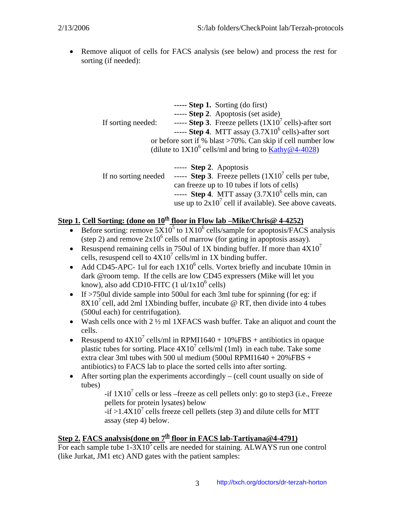• Remove aliquot of cells for FACS analysis (see below) and process the rest for sorting (if needed):

|                    | $\cdots$ Step 1. Sorting (do first)                                                           |
|--------------------|-----------------------------------------------------------------------------------------------|
|                    | ----- Step 2. Apoptosis (set aside)                                                           |
| If sorting needed: | ----- Step 3. Freeze pellets $(1X10^7 \text{ cells})$ -after sort                             |
|                    | ----- Step 4. MTT assay $(3.7X10^6 \text{ cells})$ -after sort                                |
|                    | or before sort if % blast >70%. Can skip if cell number low                                   |
|                    | (dilute to $1X10^6$ cells/ml and bring to Kathy@4-4028)                                       |
|                    |                                                                                               |
|                    | $---$ Step 2. Apoptosis                                                                       |
|                    | If no sorting needed ----- <b>Step 3</b> . Freeze pellets $(1X10^7 \text{ cells per tube})$ , |
|                    | can freeze up to 10 tubes if lots of cells)                                                   |
|                    | ----- Step 4. MTT assay $(3.7X10^6 \text{ cells min}, \text{can})$                            |
|                    | use up to $2x10^7$ cell if available). See above caveats.                                     |

## **<u>Step 1. Cell Sorting: (done on 10<sup>th</sup> floor in Flow lab –Mike/Chris@ 4-4252)</u>**

- Before sorting: remove  $5X10^5$  to  $1X10^6$  cells/sample for apoptosis/FACS analysis (step 2) and remove  $2x10^6$  cells of marrow (for gating in apoptosis assay).
- Resuspend remaining cells in 750ul of 1X binding buffer. If more than  $4X10<sup>7</sup>$ cells, resuspend cell to  $4X10^7$  cells/ml in 1X binding buffer.
- Add CD45-APC- 1ul for each  $1X10^6$  cells. Vortex briefly and incubate 10min in dark @room temp. If the cells are low CD45 expressers (Mike will let you know), also add CD10-FITC  $(1 \text{ ul}/1 \text{x} 10^6 \text{ cells})$
- If >750ul divide sample into 500ul for each 3ml tube for spinning (for eg: if  $8X10<sup>7</sup>$  cell, add 2ml 1Xbinding buffer, incubate @ RT, then divide into 4 tubes (500ul each) for centrifugation).
- Wash cells once with 2  $\frac{1}{2}$  ml 1XFACS wash buffer. Take an aliquot and count the cells.
- Resuspend to  $4X10^7$  cells/ml in RPMI1640 + 10%FBS + antibiotics in opaque plastic tubes for sorting. Place  $4X10^7$  cells/ml (1ml) in each tube. Take some extra clear 3ml tubes with 500 ul medium (500 ul RPMI1640 +  $20\%$ FBS + antibiotics) to FACS lab to place the sorted cells into after sorting.
- After sorting plan the experiments accordingly  $-$  (cell count usually on side of tubes)

-if  $1X10<sup>7</sup>$  cells or less –freeze as cell pellets only: go to step3 (i.e., Freeze pellets for protein lysates) below

 $-i$  f >1.4X10<sup>7</sup> cells freeze cell pellets (step 3) and dilute cells for MTT assay (step 4) below.

# Step 2. **FACS analysis(done on 7<sup>th</sup> floor in FACS lab-Tartiyana@4-4791)**

For each sample tube  $1-3X10^5$  cells are needed for staining. ALWAYS run one control (like Jurkat, JM1 etc) AND gates with the patient samples: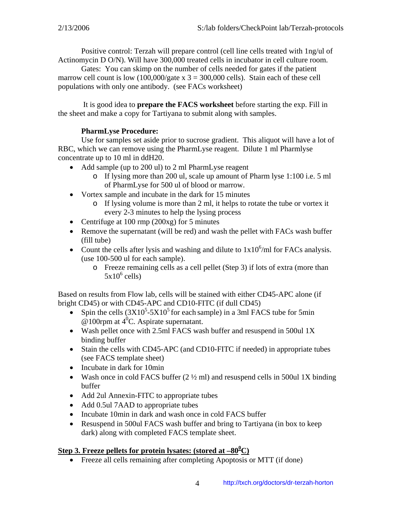Positive control: Terzah will prepare control (cell line cells treated with 1ng/ul of Actinomycin D O/N). Will have 300,000 treated cells in incubator in cell culture room.

Gates: You can skimp on the number of cells needed for gates if the patient marrow cell count is low  $(100,000)$  gate x 3 = 300,000 cells). Stain each of these cell populations with only one antibody. (see FACs worksheet)

 It is good idea to **prepare the FACS worksheet** before starting the exp. Fill in the sheet and make a copy for Tartiyana to submit along with samples.

## **PharmLyse Procedure:**

Use for samples set aside prior to sucrose gradient. This aliquot will have a lot of RBC, which we can remove using the PharmLyse reagent. Dilute 1 ml Pharmlyse concentrate up to 10 ml in ddH20.

- Add sample (up to 200 ul) to 2 ml PharmLyse reagent
	- o If lysing more than 200 ul, scale up amount of Pharm lyse 1:100 i.e. 5 ml of PharmLyse for 500 ul of blood or marrow.
- Vortex sample and incubate in the dark for 15 minutes
	- o If lysing volume is more than 2 ml, it helps to rotate the tube or vortex it every 2-3 minutes to help the lysing process
- Centrifuge at 100 rmp (200xg) for 5 minutes
- Remove the supernatant (will be red) and wash the pellet with FACs wash buffer (fill tube)
- Count the cells after lysis and washing and dilute to  $1x10^6$ /ml for FACs analysis. (use 100-500 ul for each sample).
	- o Freeze remaining cells as a cell pellet (Step 3) if lots of extra (more than  $5x10^6$  cells)

Based on results from Flow lab, cells will be stained with either CD45-APC alone (if bright CD45) or with CD45-APC and CD10-FITC (if dull CD45)

- Spin the cells  $(3X10^5 5X10^5)$  for each sample) in a 3ml FACS tube for 5min  $\Phi$  100rpm at 4<sup>0</sup>C. Aspirate supernatant.
- Wash pellet once with 2.5ml FACS wash buffer and resuspend in 500ul 1X binding buffer
- Stain the cells with CD45-APC (and CD10-FITC if needed) in appropriate tubes (see FACS template sheet)
- Incubate in dark for 10min
- Wash once in cold FACS buffer  $(2 \frac{1}{2}$  ml) and resuspend cells in 500ul 1X binding buffer
- Add 2ul Annexin-FITC to appropriate tubes
- Add 0.5ul 7AAD to appropriate tubes
- Incubate 10min in dark and wash once in cold FACS buffer
- Resuspend in 500ul FACS wash buffer and bring to Tartiyana (in box to keep dark) along with completed FACS template sheet.

## **Step 3. Freeze pellets for protein lysates: (stored at –80<sup>0</sup> C)**

• Freeze all cells remaining after completing Apoptosis or MTT (if done)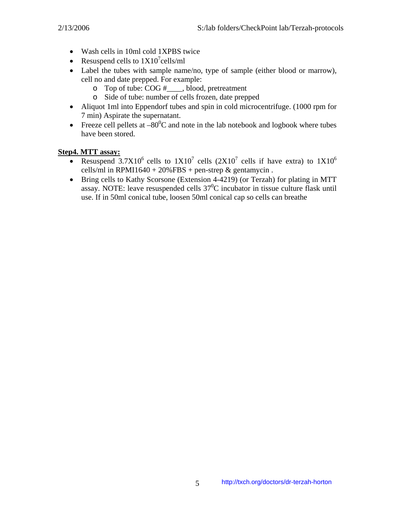- Wash cells in 10ml cold 1XPBS twice
- Resuspend cells to  $1X10^7$ cells/ml
- Label the tubes with sample name/no, type of sample (either blood or marrow), cell no and date prepped. For example:
	- o Top of tube: COG #\_\_\_\_, blood, pretreatment
	- o Side of tube: number of cells frozen, date prepped
- Aliquot 1ml into Eppendorf tubes and spin in cold microcentrifuge. (1000 rpm for 7 min) Aspirate the supernatant.
- Freeze cell pellets at  $-80^{\circ}$ C and note in the lab notebook and logbook where tubes have been stored.

## **Step4. MTT assay:**

- Resuspend 3.7X10<sup>6</sup> cells to  $1X10^7$  cells  $(2X10^7$  cells if have extra) to  $1X10^6$ cells/ml in RPMI1640 + 20%FBS + pen-strep  $&$  gentamycin.
- Bring cells to Kathy Scorsone (Extension 4-4219) (or Terzah) for plating in MTT assay. NOTE: leave resuspended cells  $37^0C$  incubator in tissue culture flask until use. If in 50ml conical tube, loosen 50ml conical cap so cells can breathe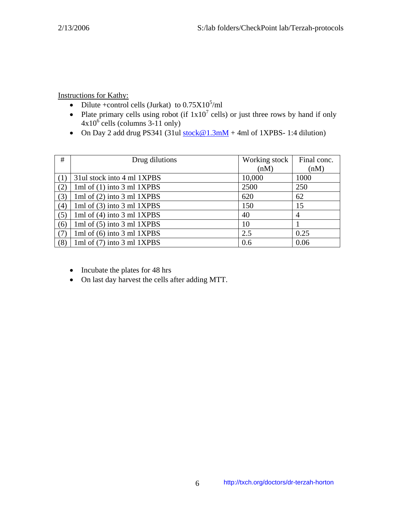Instructions for Kathy:

- Dilute +control cells (Jurkat) to  $0.75X10^5$ /ml
- Plate primary cells using robot (if  $1x10^7$  cells) or just three rows by hand if only  $4x10^6$  cells (columns 3-11 only)
- On Day 2 add drug PS341 (31ul [stock@1.3mM](mailto:stock@1.3mM) + 4ml of 1XPBS- 1:4 dilution)

| #   | Drug dilutions               | Working stock | Final conc. |
|-----|------------------------------|---------------|-------------|
|     |                              | (nM)          | (nM)        |
|     | 31 ul stock into 4 ml 1XPBS  | 10,000        | 1000        |
| (2) | 1ml of $(1)$ into 3 ml 1XPBS | 2500          | 250         |
| (3) | 1ml of $(2)$ into 3 ml 1XPBS | 620           | 62          |
| (4) | 1ml of $(3)$ into 3 ml 1XPBS | 150           | 15          |
| (5) | 1ml of $(4)$ into 3 ml 1XPBS | 40            | 4           |
| (6) | 1ml of $(5)$ into 3 ml 1XPBS | 10            |             |
| (7) | 1ml of $(6)$ into 3 ml 1XPBS | 2.5           | 0.25        |
| (8) | 1ml of $(7)$ into 3 ml 1XPBS | 0.6           | 0.06        |

- Incubate the plates for 48 hrs
- On last day harvest the cells after adding MTT.